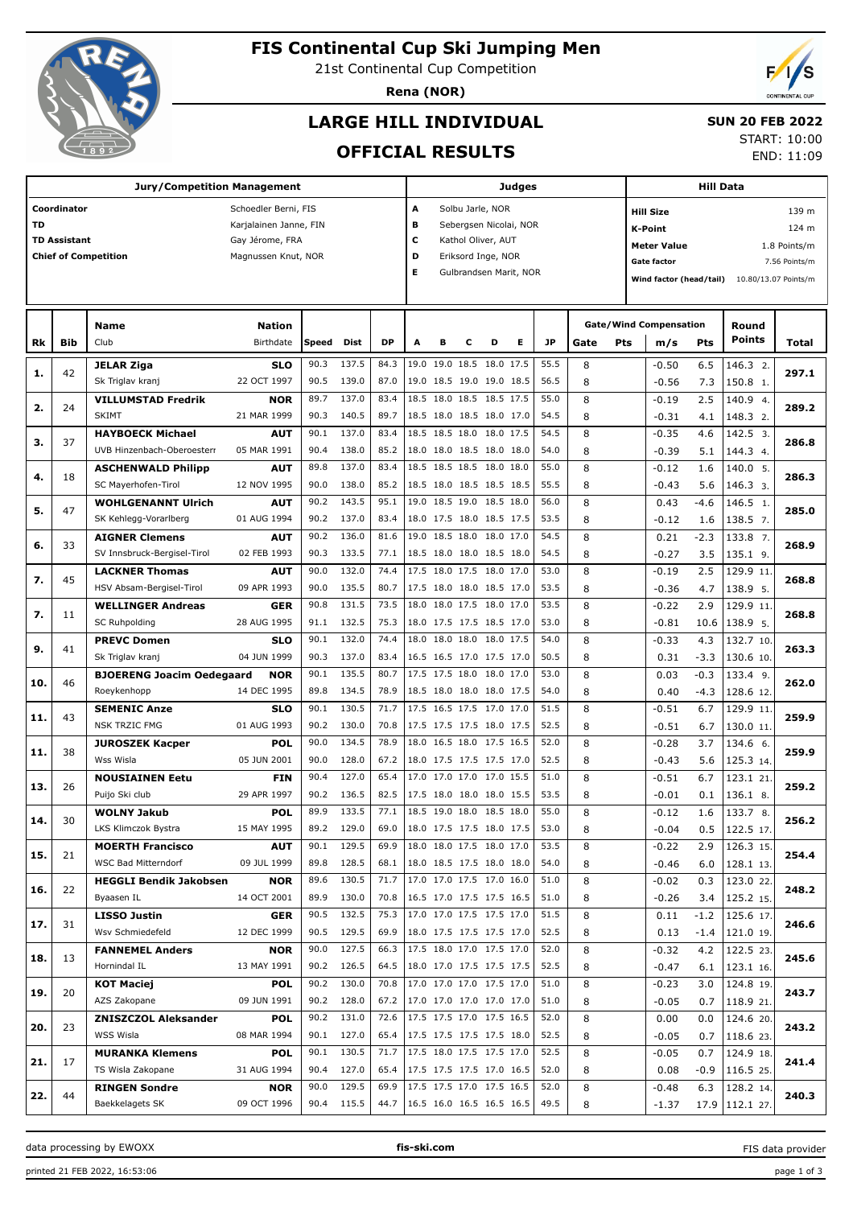

# **FIS Continental Cup Ski Jumping Men**

21st Continental Cup Competition

**Rena (NOR)**

# **LARGE HILL INDIVIDUAL**

## **SUN 20 FEB 2022**

**OFFICIAL RESULTS**

START: 10:00 END: 11:09

|     |                     |                                  |                        |       |             | Judges    |                          |                        |   | <b>Hill Data</b> |   |           |      |            |                               |            |                      |               |
|-----|---------------------|----------------------------------|------------------------|-------|-------------|-----------|--------------------------|------------------------|---|------------------|---|-----------|------|------------|-------------------------------|------------|----------------------|---------------|
|     | Coordinator         |                                  | Schoedler Berni, FIS   |       |             |           | А                        | Solbu Jarle, NOR       |   |                  |   |           |      |            | <b>Hill Size</b>              |            |                      | 139 m         |
| TD  |                     |                                  | Karjalainen Janne, FIN |       |             |           | в                        | Sebergsen Nicolai, NOR |   |                  |   |           |      |            | <b>K-Point</b>                |            |                      | 124 m         |
|     | <b>TD Assistant</b> |                                  | Gay Jérome, FRA        |       |             |           | с                        | Kathol Oliver, AUT     |   |                  |   |           |      |            | <b>Meter Value</b>            |            |                      | 1.8 Points/m  |
|     |                     | <b>Chief of Competition</b>      | Magnussen Knut, NOR    |       |             |           | D<br>Eriksord Inge, NOR  |                        |   |                  |   |           |      |            | <b>Gate factor</b>            |            |                      | 7.56 Points/m |
|     |                     |                                  |                        |       |             |           | Е                        | Gulbrandsen Marit, NOR |   |                  |   |           |      |            |                               |            |                      |               |
|     |                     |                                  |                        |       |             |           |                          |                        |   |                  |   |           |      |            | Wind factor (head/tail)       |            | 10.80/13.07 Points/m |               |
|     |                     |                                  |                        |       |             |           |                          |                        |   |                  |   |           |      |            |                               |            |                      |               |
|     |                     | Name                             | <b>Nation</b>          |       |             |           |                          |                        |   |                  |   |           |      |            | <b>Gate/Wind Compensation</b> |            | Round                |               |
| Rk  | Bib                 | Club                             | Birthdate              | Speed | <b>Dist</b> | <b>DP</b> | A                        | в                      | с | D                | Е | <b>JP</b> | Gate | <b>Pts</b> | m/s                           | <b>Pts</b> | <b>Points</b>        | Total         |
|     |                     |                                  |                        |       |             |           |                          |                        |   |                  |   |           |      |            |                               |            |                      |               |
| 1.  | 42                  | <b>JELAR Ziga</b>                | <b>SLO</b>             | 90.3  | 137.5       | 84.3      | 19.0 19.0 18.5 18.0 17.5 |                        |   |                  |   | 55.5      | 8    |            | $-0.50$                       | 6.5        | 146.3 2.             | 297.1         |
|     |                     | Sk Triglav kranj                 | 22 OCT 1997            | 90.5  | 139.0       | 87.0      | 19.0 18.5 19.0 19.0 18.5 |                        |   |                  |   | 56.5      | 8    |            | $-0.56$                       | 7.3        | 150.8 1.             |               |
| 2.  | 24                  | <b>VILLUMSTAD Fredrik</b>        | <b>NOR</b>             | 89.7  | 137.0       | 83.4      | 18.5 18.0 18.5 18.5 17.5 |                        |   |                  |   | 55.0      | 8    |            | $-0.19$                       | 2.5        | 140.9 4.             | 289.2         |
|     |                     | <b>SKIMT</b>                     | 21 MAR 1999            | 90.3  | 140.5       | 89.7      | 18.5 18.0 18.5 18.0 17.0 |                        |   |                  |   | 54.5      | 8    |            | $-0.31$                       | 4.1        | 148.3 2.             |               |
|     |                     | <b>HAYBOECK Michael</b>          | <b>AUT</b>             | 90.1  | 137.0       | 83.4      | 18.5 18.5 18.0 18.0 17.5 |                        |   |                  |   | 54.5      | 8    |            | $-0.35$                       | 4.6        | 142.5 3.             |               |
| з.  | 37                  | UVB Hinzenbach-Oberoesterr       | 05 MAR 1991            | 90.4  | 138.0       | 85.2      | 18.0 18.0 18.5 18.0 18.0 |                        |   |                  |   | 54.0      | 8    |            | $-0.39$                       | 5.1        | 144.3 4.             | 286.8         |
|     |                     | <b>ASCHENWALD Philipp</b>        | <b>AUT</b>             | 89.8  | 137.0       | 83.4      | 18.5 18.5 18.5 18.0 18.0 |                        |   |                  |   | 55.0      | 8    |            | $-0.12$                       | 1.6        | 140.0 5.             |               |
| 4.  | 18                  | SC Mayerhofen-Tirol              | 12 NOV 1995            | 90.0  | 138.0       | 85.2      | 18.5 18.0 18.5 18.5 18.5 |                        |   |                  |   | 55.5      | 8    |            | $-0.43$                       | 5.6        | 146.3 3.             | 286.3         |
|     |                     | <b>WOHLGENANNT Ulrich</b>        | <b>AUT</b>             | 90.2  | 143.5       | 95.1      | 19.0 18.5 19.0 18.5 18.0 |                        |   |                  |   | 56.0      | 8    |            | 0.43                          | $-4.6$     | 146.5 1.             |               |
| 5.  | 47                  | SK Kehlegg-Vorarlberg            | 01 AUG 1994            | 90.2  | 137.0       | 83.4      | 18.0 17.5 18.0 18.5 17.5 |                        |   |                  |   | 53.5      | 8    |            | $-0.12$                       | 1.6        | 138.5 7.             | 285.0         |
|     |                     | <b>AIGNER Clemens</b>            | <b>AUT</b>             | 90.2  | 136.0       | 81.6      | 19.0 18.5 18.0 18.0 17.0 |                        |   |                  |   | 54.5      | 8    |            | 0.21                          | $-2.3$     | 133.8 7.             |               |
| 6.  | 33                  | SV Innsbruck-Bergisel-Tirol      |                        | 90.3  |             |           |                          |                        |   |                  |   | 54.5      |      |            |                               |            |                      | 268.9         |
|     |                     |                                  | 02 FEB 1993            |       | 133.5       | 77.1      | 18.5 18.0 18.0 18.5 18.0 |                        |   |                  |   |           | 8    |            | $-0.27$                       | 3.5        | 135.1 9.             |               |
| 7.  | 45                  | <b>LACKNER Thomas</b>            | <b>AUT</b>             | 90.0  | 132.0       | 74.4      | 17.5 18.0 17.5 18.0 17.0 |                        |   |                  |   | 53.0      | 8    |            | $-0.19$                       | 2.5        | 129.9 11.            | 268.8         |
|     |                     | HSV Absam-Bergisel-Tirol         | 09 APR 1993            | 90.0  | 135.5       | 80.7      | 17.5 18.0 18.0 18.5 17.0 |                        |   |                  |   | 53.5      | 8    |            | $-0.36$                       | 4.7        | 138.9 5.             |               |
| 7.  | 11                  | <b>WELLINGER Andreas</b>         | <b>GER</b>             | 90.8  | 131.5       | 73.5      | 18.0 18.0 17.5 18.0 17.0 |                        |   |                  |   | 53.5      | 8    |            | $-0.22$                       | 2.9        | 129.9 11.            | 268.8         |
|     |                     | <b>SC Ruhpolding</b>             | 28 AUG 1995            | 91.1  | 132.5       | 75.3      | 18.0 17.5 17.5 18.5 17.0 |                        |   |                  |   | 53.0      | 8    |            | $-0.81$                       | 10.6       | 138.9 5.             |               |
| 9.  | 41                  | <b>PREVC Domen</b>               | <b>SLO</b>             | 90.1  | 132.0       | 74.4      | 18.0 18.0 18.0 18.0 17.5 |                        |   |                  |   | 54.0      | 8    |            | $-0.33$                       | 4.3        | 132.7 10.            | 263.3         |
|     |                     | Sk Triglav kranj                 | 04 JUN 1999            | 90.3  | 137.0       | 83.4      | 16.5 16.5 17.0 17.5 17.0 |                        |   |                  |   | 50.5      | 8    |            | 0.31                          | $-3.3$     | 130.6 10.            |               |
|     |                     | <b>BJOERENG Joacim Oedegaard</b> | <b>NOR</b>             | 90.1  | 135.5       | 80.7      | 17.5 17.5 18.0 18.0 17.0 |                        |   |                  |   | 53.0      | 8    |            | 0.03                          | $-0.3$     | 133.4 9.             |               |
| 10. | 46                  | Roeykenhopp                      | 14 DEC 1995            | 89.8  | 134.5       | 78.9      | 18.5 18.0 18.0 18.0 17.5 |                        |   |                  |   | 54.0      | 8    |            | 0.40                          | $-4.3$     | 128.6 12.            | 262.0         |
|     |                     | <b>SEMENIC Anze</b>              | <b>SLO</b>             | 90.1  | 130.5       | 71.7      | 17.5 16.5 17.5 17.0 17.0 |                        |   |                  |   | 51.5      | 8    |            | $-0.51$                       | 6.7        | 129.9 11             |               |
| 11. | 43                  | <b>NSK TRZIC FMG</b>             | 01 AUG 1993            | 90.2  | 130.0       | 70.8      | 17.5 17.5 17.5 18.0 17.5 |                        |   |                  |   | 52.5      | 8    |            | $-0.51$                       | 6.7        | 130.0 11.            | 259.9         |
|     |                     | <b>JUROSZEK Kacper</b>           | <b>POL</b>             | 90.0  | 134.5       | 78.9      | 18.0 16.5 18.0 17.5 16.5 |                        |   |                  |   | 52.0      | 8    |            | $-0.28$                       | 3.7        | 134.6 6.             |               |
| 11. | 38                  | Wss Wisla                        | 05 JUN 2001            | 90.0  | 128.0       | 67.2      | 18.0 17.5 17.5 17.5 17.0 |                        |   |                  |   | 52.5      | 8    |            | $-0.43$                       | 5.6        | 125.3 14.            | 259.9         |
|     |                     | <b>NOUSIAINEN Eetu</b>           | <b>FIN</b>             | 90.4  | 127.0       | 65.4      | 17.0 17.0 17.0 17.0 15.5 |                        |   |                  |   | 51.0      | 8    |            | $-0.51$                       | 6.7        | 123.1 21             |               |
| 13. | 26                  | Puijo Ski club                   | 29 APR 1997            | 90.2  | 136.5       | 82.5      | 17.5 18.0 18.0 18.0 15.5 |                        |   |                  |   | 53.5      | 8    |            | $-0.01$                       | 0.1        | 136.1 8.             | 259.2         |
|     |                     | <b>WOLNY Jakub</b>               | <b>POL</b>             | 89.9  | 133.5       | 77.1      | 18.5 19.0 18.0 18.5 18.0 |                        |   |                  |   | 55.0      | 8    |            | $-0.12$                       | 1.6        | 133.7 8.             |               |
| 14. | 30                  |                                  |                        |       |             |           |                          |                        |   |                  |   |           |      |            |                               |            |                      | 256.2         |
|     |                     | LKS Klimczok Bystra              | 15 MAY 1995            | 89.2  | 129.0       | 69.0      | 18.0 17.5 17.5 18.0 17.5 |                        |   |                  |   | 53.0      | 8    |            | $-0.04$                       | 0.5        | 122.5 17.            |               |
| 15. | 21                  | <b>MOERTH Francisco</b>          | <b>AUT</b>             | 90.1  | 129.5       | 69.9      | 18.0 18.0 17.5 18.0 17.0 |                        |   |                  |   | 53.5      | 8    |            | $-0.22$                       | 2.9        | 126.3 15.            | 254.4         |
|     |                     | WSC Bad Mitterndorf              | 09 JUL 1999            | 89.8  | 128.5       | 68.1      | 18.0 18.5 17.5 18.0 18.0 |                        |   |                  |   | 54.0      | 8    |            | $-0.46$                       | 6.0        | 128.1 13.            |               |
| 16. | 22                  | <b>HEGGLI Bendik Jakobsen</b>    | <b>NOR</b>             | 89.6  | 130.5       | 71.7      | 17.0 17.0 17.5 17.0 16.0 |                        |   |                  |   | 51.0      | 8    |            | $-0.02$                       | 0.3        | 123.0 22.            | 248.2         |
|     |                     | Byaasen IL                       | 14 OCT 2001            | 89.9  | 130.0       | 70.8      | 16.5 17.0 17.5 17.5 16.5 |                        |   |                  |   | 51.0      | 8    |            | $-0.26$                       | 3.4        | 125.2 15.            |               |
| 17. | 31                  | <b>LISSO Justin</b>              | GER                    | 90.5  | 132.5       | 75.3      | 17.0 17.0 17.5 17.5 17.0 |                        |   |                  |   | 51.5      | 8    |            | 0.11                          | $-1.2$     | 125.6 17.            | 246.6         |
|     |                     | Wsv Schmiedefeld                 | 12 DEC 1999            | 90.5  | 129.5       | 69.9      | 18.0 17.5 17.5 17.5 17.0 |                        |   |                  |   | 52.5      | 8    |            | 0.13                          | $-1.4$     | 121.0 19.            |               |
|     | 13                  | <b>FANNEMEL Anders</b>           | <b>NOR</b>             | 90.0  | 127.5       | 66.3      | 17.5 18.0 17.0 17.5 17.0 |                        |   |                  |   | 52.0      | 8    |            | $-0.32$                       | 4.2        | 122.5 23.            | 245.6         |
| 18. |                     | Hornindal IL                     | 13 MAY 1991            |       | 90.2 126.5  | 64.5      | 18.0 17.0 17.5 17.5 17.5 |                        |   |                  |   | 52.5      | 8    |            | $-0.47$                       | 6.1        | 123.1 16.            |               |
|     |                     | <b>KOT Maciej</b>                | <b>POL</b>             | 90.2  | 130.0       | 70.8      | 17.0 17.0 17.0 17.5 17.0 |                        |   |                  |   | 51.0      | 8    |            | $-0.23$                       | 3.0        | 124.8 19.            |               |
| 19. | 20                  | AZS Zakopane                     | 09 JUN 1991            |       | 90.2 128.0  | 67.2      | 17.0 17.0 17.0 17.0 17.0 |                        |   |                  |   | 51.0      | 8    |            | $-0.05$                       | 0.7        | 118.9 21.            | 243.7         |
|     |                     | <b>ZNISZCZOL Aleksander</b>      | <b>POL</b>             | 90.2  | 131.0       | 72.6      | 17.5 17.5 17.0 17.5 16.5 |                        |   |                  |   | 52.0      | 8    |            | 0.00                          | 0.0        | 124.6 20.            |               |
| 20. | 23                  | WSS Wisla                        | 08 MAR 1994            |       | 90.1 127.0  | 65.4      | 17.5 17.5 17.5 17.5 18.0 |                        |   |                  |   | 52.5      | 8    |            | $-0.05$                       | 0.7        | 118.6 23.            | 243.2         |
|     |                     | <b>MURANKA Klemens</b>           | <b>POL</b>             | 90.1  | 130.5       | 71.7      | 17.5 18.0 17.5 17.5 17.0 |                        |   |                  |   | 52.5      | 8    |            | $-0.05$                       | 0.7        | 124.9 18.            |               |
| 21. | 17                  | TS Wisla Zakopane                | 31 AUG 1994            | 90.4  | 127.0       | 65.4      | 17.5 17.5 17.5 17.0 16.5 |                        |   |                  |   | 52.0      | 8    |            | 0.08                          | $-0.9$     | 116.5 25.            | 241.4         |
|     |                     | <b>RINGEN Sondre</b>             | <b>NOR</b>             | 90.0  | 129.5       | 69.9      | 17.5 17.5 17.0 17.5 16.5 |                        |   |                  |   | 52.0      | 8    |            | $-0.48$                       | 6.3        | 128.2 14.            |               |
| 22. | 44                  | Baekkelagets SK                  | 09 OCT 1996            |       | 90.4 115.5  | 44.7      | 16.5 16.0 16.5 16.5 16.5 |                        |   |                  |   | 49.5      | 8    |            |                               |            |                      | 240.3         |
|     |                     |                                  |                        |       |             |           |                          |                        |   |                  |   |           |      |            | $-1.37$                       | 17.9       | 112.127              |               |

data processing by EWOXX **fis-ski.com**

FIS data provider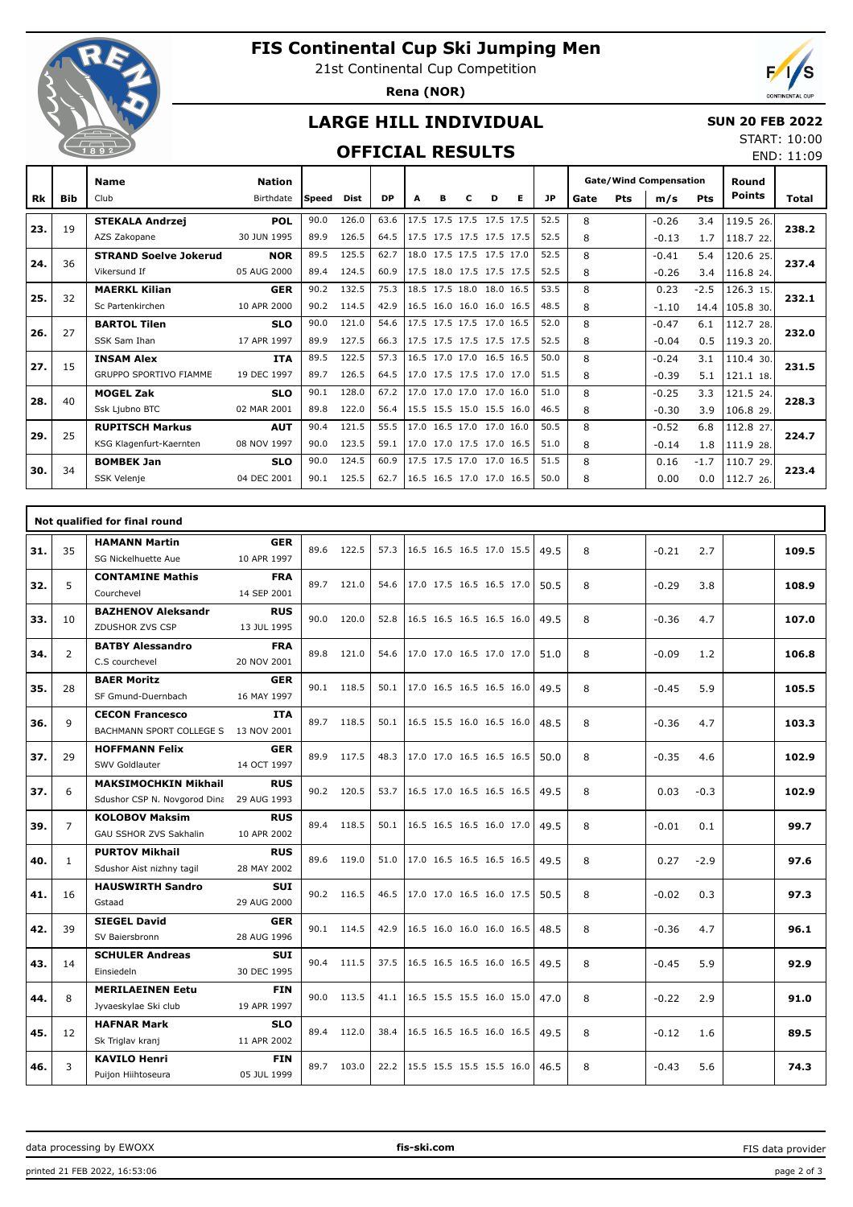

# **FIS Continental Cup Ski Jumping Men**

21st Continental Cup Competition

**Rena (NOR)**



END: 11:09

## **LARGE HILL INDIVIDUAL**

### **SUN 20 FEB 2022** START: 10:00

## **OFFICIAL RESULTS**

|     |            | <b>Name</b>                   | <b>Nation</b> |              |             |           |   |   |                          |   |           |      |     | <b>Gate/Wind Compensation</b> |            | Round<br><b>Points</b> |       |
|-----|------------|-------------------------------|---------------|--------------|-------------|-----------|---|---|--------------------------|---|-----------|------|-----|-------------------------------|------------|------------------------|-------|
| Rk  | <b>Bib</b> | Club                          | Birthdate     | <b>Speed</b> | <b>Dist</b> | <b>DP</b> | A | в | D                        | Е | <b>JP</b> | Gate | Pts | m/s                           | <b>Pts</b> |                        | Total |
| 23. | 19         | <b>STEKALA Andrzej</b>        | <b>POL</b>    | 90.0         | 126.0       | 63.6      |   |   | 17.5 17.5 17.5 17.5 17.5 |   | 52.5      | 8    |     | $-0.26$                       | 3.4        | 119.5 26.              | 238.2 |
|     |            | AZS Zakopane                  | 30 JUN 1995   | 89.9         | 126.5       | 64.5      |   |   | 17.5 17.5 17.5 17.5 17.5 |   | 52.5      | 8    |     | $-0.13$                       | 1.7        | 118.7 22.              |       |
| 24. | 36         | <b>STRAND Soelve Jokerud</b>  | <b>NOR</b>    | 89.5         | 125.5       | 62.7      |   |   | 18.0 17.5 17.5 17.5 17.0 |   | 52.5      | 8    |     | $-0.41$                       | 5.4        | 120.6 25.              | 237.4 |
|     |            | Vikersund If                  | 05 AUG 2000   | 89.4         | 124.5       | 60.9      |   |   | 17.5 18.0 17.5 17.5 17.5 |   | 52.5      | 8    |     | $-0.26$                       | 3.4        | 116.8 24.              |       |
| 25. |            | <b>MAERKL Kilian</b>          | <b>GER</b>    | 90.2         | 132.5       | 75.3      |   |   | 18.5 17.5 18.0 18.0 16.5 |   | 53.5      | 8    |     | 0.23                          | $-2.5$     | 126.3 15.              | 232.1 |
|     | 32         | Sc Partenkirchen              | 10 APR 2000   | 90.2         | 114.5       | 42.9      |   |   | 16.5 16.0 16.0 16.0 16.5 |   | 48.5      | 8    |     | $-1.10$                       | 14.4       | 105.830.               |       |
|     | 27         | <b>BARTOL Tilen</b>           | <b>SLO</b>    | 90.0         | 121.0       | 54.6      |   |   | 17.5 17.5 17.5 17.0 16.5 |   | 52.0      | 8    |     | $-0.47$                       | 6.1        | 112.7 28.              | 232.0 |
| 26. |            | SSK Sam Ihan                  | 17 APR 1997   | 89.9         | 127.5       | 66.3      |   |   | 17.5 17.5 17.5 17.5 17.5 |   | 52.5      | 8    |     | $-0.04$                       | 0.5        | 119.3 20.              |       |
| 27. | 15         | <b>INSAM Alex</b>             | <b>ITA</b>    | 89.5         | 122.5       | 57.3      |   |   | 16.5 17.0 17.0 16.5 16.5 |   | 50.0      | 8    |     | $-0.24$                       | 3.1        | 110.4 30.              | 231.5 |
|     |            | <b>GRUPPO SPORTIVO FIAMME</b> | 19 DEC 1997   | 89.7         | 126.5       | 64.5      |   |   | 17.0 17.5 17.5 17.0 17.0 |   | 51.5      | 8    |     | $-0.39$                       | 5.1        | 121.1 18.              |       |
| 28. | 40         | <b>MOGEL Zak</b>              | <b>SLO</b>    | 90.1         | 128.0       | 67.2      |   |   | 17.0 17.0 17.0 17.0 16.0 |   | 51.0      | 8    |     | $-0.25$                       | 3.3        | 121.5 24.              | 228.3 |
|     |            | Ssk Ljubno BTC                | 02 MAR 2001   | 89.8         | 122.0       | 56.4      |   |   | 15.5 15.5 15.0 15.5 16.0 |   | 46.5      | 8    |     | $-0.30$                       | 3.9        | 106.8 29.              |       |
| 29. | 25         | <b>RUPITSCH Markus</b>        | <b>AUT</b>    | 90.4         | 121.5       | 55.5      |   |   | 17.0 16.5 17.0 17.0 16.0 |   | 50.5      | 8    |     | $-0.52$                       | 6.8        | 112.8 27.              | 224.7 |
|     |            | KSG Klagenfurt-Kaernten       | 08 NOV 1997   | 90.0         | 123.5       | 59.1      |   |   | 17.0 17.0 17.5 17.0 16.5 |   | 51.0      | 8    |     | $-0.14$                       | 1.8        | 111.9 28.              |       |
| 30. | 34         | <b>BOMBEK Jan</b>             | <b>SLO</b>    | 90.0         | 124.5       | 60.9      |   |   | 17.5 17.5 17.0 17.0 16.5 |   | 51.5      | 8    |     | 0.16                          | $-1.7$     | 110.7 29.              | 223.4 |
|     |            | <b>SSK Velenie</b>            | 04 DEC 2001   | 90.1         | 125.5       | 62.7      |   |   | 16.5 16.5 17.0 17.0 16.5 |   | 50.0      | 8    |     | 0.00                          | 0.0        | 112.7 26.              |       |

|     |                | Not qualified for final round |             |      |            |      |                          |  |      |   |         |        |       |
|-----|----------------|-------------------------------|-------------|------|------------|------|--------------------------|--|------|---|---------|--------|-------|
| 31. | 35             | <b>HAMANN Martin</b>          | <b>GER</b>  | 89.6 | 122.5      | 57.3 | 16.5 16.5 16.5 17.0 15.5 |  | 49.5 | 8 | $-0.21$ | 2.7    | 109.5 |
|     |                | SG Nickelhuette Aue           | 10 APR 1997 |      |            |      |                          |  |      |   |         |        |       |
| 32. | 5              | <b>CONTAMINE Mathis</b>       | <b>FRA</b>  |      | 89.7 121.0 | 54.6 | 17.0 17.5 16.5 16.5 17.0 |  | 50.5 | 8 | $-0.29$ | 3.8    | 108.9 |
|     |                | Courchevel                    | 14 SEP 2001 |      |            |      |                          |  |      |   |         |        |       |
| 33. | 10             | <b>BAZHENOV Aleksandr</b>     | <b>RUS</b>  |      | 90.0 120.0 | 52.8 | 16.5 16.5 16.5 16.5 16.0 |  | 49.5 | 8 | $-0.36$ | 4.7    | 107.0 |
|     |                | ZDUSHOR ZVS CSP               | 13 JUL 1995 |      |            |      |                          |  |      |   |         |        |       |
| 34. | $\overline{2}$ | <b>BATBY Alessandro</b>       | <b>FRA</b>  |      | 89.8 121.0 | 54.6 | 17.0 17.0 16.5 17.0 17.0 |  | 51.0 | 8 | $-0.09$ | 1.2    | 106.8 |
|     |                | C.S courchevel                | 20 NOV 2001 |      |            |      |                          |  |      |   |         |        |       |
| 35. | 28             | <b>BAER Moritz</b>            | <b>GER</b>  |      | 90.1 118.5 | 50.1 | 17.0 16.5 16.5 16.5 16.0 |  | 49.5 | 8 | $-0.45$ | 5.9    | 105.5 |
|     |                | SF Gmund-Duernbach            | 16 MAY 1997 |      |            |      |                          |  |      |   |         |        |       |
| 36. | 9              | <b>CECON Francesco</b>        | <b>ITA</b>  |      | 89.7 118.5 | 50.1 | 16.5 15.5 16.0 16.5 16.0 |  | 48.5 | 8 | $-0.36$ | 4.7    | 103.3 |
|     |                | BACHMANN SPORT COLLEGE S      | 13 NOV 2001 |      |            |      |                          |  |      |   |         |        |       |
| 37. | 29             | <b>HOFFMANN Felix</b>         | <b>GER</b>  |      | 89.9 117.5 | 48.3 | 17.0 17.0 16.5 16.5 16.5 |  | 50.0 | 8 | $-0.35$ | 4.6    | 102.9 |
|     |                | SWV Goldlauter                | 14 OCT 1997 |      |            |      |                          |  |      |   |         |        |       |
| 37. | 6              | <b>MAKSIMOCHKIN Mikhail</b>   | <b>RUS</b>  |      | 90.2 120.5 | 53.7 | 16.5 17.0 16.5 16.5 16.5 |  | 49.5 | 8 | 0.03    | $-0.3$ | 102.9 |
|     |                | Sdushor CSP N. Novgorod Dina  | 29 AUG 1993 |      |            |      |                          |  |      |   |         |        |       |
| 39. | $\overline{7}$ | <b>KOLOBOV Maksim</b>         | <b>RUS</b>  |      | 89.4 118.5 | 50.1 | 16.5 16.5 16.5 16.0 17.0 |  | 49.5 | 8 | $-0.01$ | 0.1    | 99.7  |
|     |                | <b>GAU SSHOR ZVS Sakhalin</b> | 10 APR 2002 |      |            |      |                          |  |      |   |         |        |       |
| 40. | $\mathbf{1}$   | <b>PURTOV Mikhail</b>         | <b>RUS</b>  |      | 89.6 119.0 | 51.0 | 17.0 16.5 16.5 16.5 16.5 |  | 49.5 | 8 | 0.27    | $-2.9$ | 97.6  |
|     |                | Sdushor Aist nizhny tagil     | 28 MAY 2002 |      |            |      |                          |  |      |   |         |        |       |
| 41. | 16             | <b>HAUSWIRTH Sandro</b>       | <b>SUI</b>  |      | 90.2 116.5 | 46.5 | 17.0 17.0 16.5 16.0 17.5 |  | 50.5 | 8 | $-0.02$ | 0.3    | 97.3  |
|     |                | Gstaad                        | 29 AUG 2000 |      |            |      |                          |  |      |   |         |        |       |
| 42. | 39             | <b>SIEGEL David</b>           | <b>GER</b>  |      | 90.1 114.5 | 42.9 | 16.5 16.0 16.0 16.0 16.5 |  | 48.5 | 8 | $-0.36$ | 4.7    | 96.1  |
|     |                | SV Baiersbronn                | 28 AUG 1996 |      |            |      |                          |  |      |   |         |        |       |
| 43. | 14             | <b>SCHULER Andreas</b>        | <b>SUI</b>  |      | 90.4 111.5 | 37.5 | 16.5 16.5 16.5 16.0 16.5 |  | 49.5 | 8 | $-0.45$ | 5.9    | 92.9  |
|     |                | Einsiedeln                    | 30 DEC 1995 |      |            |      |                          |  |      |   |         |        |       |
| 44. | 8              | <b>MERILAEINEN Eetu</b>       | <b>FIN</b>  |      | 90.0 113.5 | 41.1 | 16.5 15.5 15.5 16.0 15.0 |  | 47.0 | 8 | $-0.22$ | 2.9    | 91.0  |
|     |                | Jyvaeskylae Ski club          | 19 APR 1997 |      |            |      |                          |  |      |   |         |        |       |
| 45. | 12             | <b>HAFNAR Mark</b>            | <b>SLO</b>  |      | 89.4 112.0 | 38.4 | 16.5 16.5 16.5 16.0 16.5 |  | 49.5 | 8 | $-0.12$ | 1.6    | 89.5  |
|     |                | Sk Triglav kranj              | 11 APR 2002 |      |            |      |                          |  |      |   |         |        |       |
| 46. | 3              | <b>KAVILO Henri</b>           | <b>FIN</b>  |      | 89.7 103.0 | 22.2 | 15.5 15.5 15.5 15.5 16.0 |  | 46.5 | 8 | $-0.43$ | 5.6    | 74.3  |
|     |                | Puijon Hiihtoseura            | 05 JUL 1999 |      |            |      |                          |  |      |   |         |        |       |